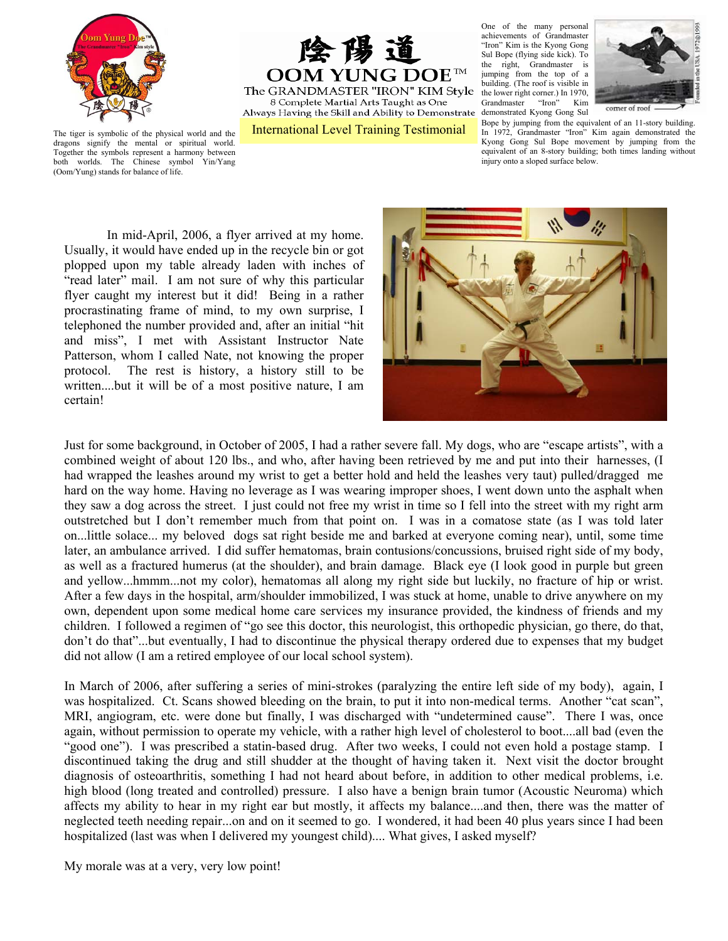

险 陽 前 OOM YUNG DOE The GRANDMASTER "IRON" KIM Style 8 Complete Martial Arts Taught as One Always Having the Skill and Ability to Demonstrate

One of the many personal achievements of Grandmaster "Iron" Kim is the Kyong Gong Sul Bope (flying side kick). To the right, Grandmaster is jumping from the top of a building. (The roof is visible in the lower right corner.) In 1970,<br>Grandmaster "Iron" Kim Grandmaster demonstrated Kyong Gong Sul



comer of roof

International Level Training Testimonial Bope by jumping from the equivalent of an 11-story building. In 1972, Grandmaster "Iron" Kim again demonstrated the Kyong Gong Sul Bope movement by jumping from the equivalent of an 8-story building; both times landing without injury onto a sloped surface below.

The tiger is symbolic of the physical world and the dragons signify the mental or spiritual world. Together the symbols represent a harmony between both worlds. The Chinese symbol Yin/Yang (Oom/Yung) stands for balance of life.

In mid-April, 2006, a flyer arrived at my home. Usually, it would have ended up in the recycle bin or got plopped upon my table already laden with inches of "read later" mail. I am not sure of why this particular flyer caught my interest but it did! Being in a rather procrastinating frame of mind, to my own surprise, I telephoned the number provided and, after an initial "hit and miss", I met with Assistant Instructor Nate Patterson, whom I called Nate, not knowing the proper protocol. The rest is history, a history still to be written....but it will be of a most positive nature, I am certain!



Just for some background, in October of 2005, I had a rather severe fall. My dogs, who are "escape artists", with a combined weight of about 120 lbs., and who, after having been retrieved by me and put into their harnesses, (I had wrapped the leashes around my wrist to get a better hold and held the leashes very taut) pulled/dragged me hard on the way home. Having no leverage as I was wearing improper shoes, I went down unto the asphalt when they saw a dog across the street. I just could not free my wrist in time so I fell into the street with my right arm outstretched but I don't remember much from that point on. I was in a comatose state (as I was told later on...little solace... my beloved dogs sat right beside me and barked at everyone coming near), until, some time later, an ambulance arrived. I did suffer hematomas, brain contusions/concussions, bruised right side of my body, as well as a fractured humerus (at the shoulder), and brain damage. Black eye (I look good in purple but green and yellow...hmmm...not my color), hematomas all along my right side but luckily, no fracture of hip or wrist. After a few days in the hospital, arm/shoulder immobilized, I was stuck at home, unable to drive anywhere on my own, dependent upon some medical home care services my insurance provided, the kindness of friends and my children. I followed a regimen of "go see this doctor, this neurologist, this orthopedic physician, go there, do that, don't do that"...but eventually, I had to discontinue the physical therapy ordered due to expenses that my budget did not allow (I am a retired employee of our local school system).

In March of 2006, after suffering a series of mini-strokes (paralyzing the entire left side of my body), again, I was hospitalized. Ct. Scans showed bleeding on the brain, to put it into non-medical terms. Another "cat scan", MRI, angiogram, etc. were done but finally, I was discharged with "undetermined cause". There I was, once again, without permission to operate my vehicle, with a rather high level of cholesterol to boot....all bad (even the "good one"). I was prescribed a statin-based drug. After two weeks, I could not even hold a postage stamp. I discontinued taking the drug and still shudder at the thought of having taken it. Next visit the doctor brought diagnosis of osteoarthritis, something I had not heard about before, in addition to other medical problems, i.e. high blood (long treated and controlled) pressure. I also have a benign brain tumor (Acoustic Neuroma) which affects my ability to hear in my right ear but mostly, it affects my balance....and then, there was the matter of neglected teeth needing repair...on and on it seemed to go. I wondered, it had been 40 plus years since I had been hospitalized (last was when I delivered my youngest child).... What gives, I asked myself?

My morale was at a very, very low point!